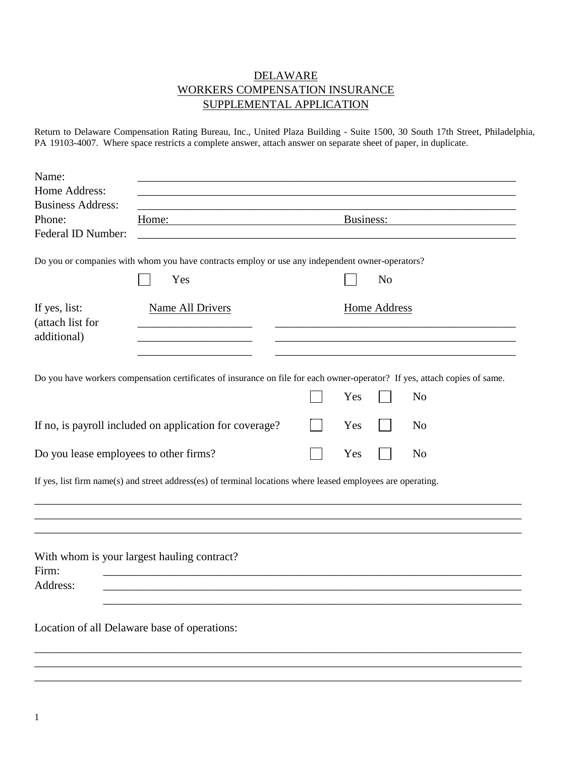## DELAWARE WORKERS COMPENSATION INSURANCE SUPPLEMENTAL APPLICATION

Return to Delaware Compensation Rating Bureau, Inc., United Plaza Building - Suite 1500, 30 South 17th Street, Philadelphia, PA 19103-4007. Where space restricts a complete answer, attach answer on separate sheet of paper, in duplicate.

| Name:                                  |                                                                                                              |                                                                                                                            |  |
|----------------------------------------|--------------------------------------------------------------------------------------------------------------|----------------------------------------------------------------------------------------------------------------------------|--|
| Home Address:                          |                                                                                                              |                                                                                                                            |  |
| <b>Business Address:</b>               |                                                                                                              |                                                                                                                            |  |
| Phone:                                 | Home:                                                                                                        | Business:                                                                                                                  |  |
| Federal ID Number:                     | <u> 1989 - Johann Barbara, martin amerikan bashkar (</u>                                                     |                                                                                                                            |  |
|                                        |                                                                                                              |                                                                                                                            |  |
|                                        | Do you or companies with whom you have contracts employ or use any independent owner-operators?              |                                                                                                                            |  |
|                                        | Yes                                                                                                          | N <sub>o</sub>                                                                                                             |  |
| If yes, list:                          | Name All Drivers                                                                                             | Home Address                                                                                                               |  |
| (attach list for                       |                                                                                                              |                                                                                                                            |  |
| additional)                            |                                                                                                              |                                                                                                                            |  |
|                                        |                                                                                                              |                                                                                                                            |  |
|                                        |                                                                                                              | Do you have workers compensation certificates of insurance on file for each owner-operator? If yes, attach copies of same. |  |
|                                        |                                                                                                              | N <sub>o</sub><br>Yes                                                                                                      |  |
|                                        |                                                                                                              |                                                                                                                            |  |
|                                        | If no, is payroll included on application for coverage?                                                      | Yes<br>N <sub>o</sub>                                                                                                      |  |
| Do you lease employees to other firms? |                                                                                                              | Yes<br>N <sub>o</sub>                                                                                                      |  |
|                                        | If yes, list firm name(s) and street address(es) of terminal locations where leased employees are operating. |                                                                                                                            |  |
|                                        |                                                                                                              |                                                                                                                            |  |
| Firm:<br>Address:                      | With whom is your largest hauling contract?                                                                  |                                                                                                                            |  |
|                                        |                                                                                                              |                                                                                                                            |  |
|                                        | Location of all Delaware base of operations:                                                                 |                                                                                                                            |  |
|                                        |                                                                                                              |                                                                                                                            |  |
|                                        |                                                                                                              |                                                                                                                            |  |